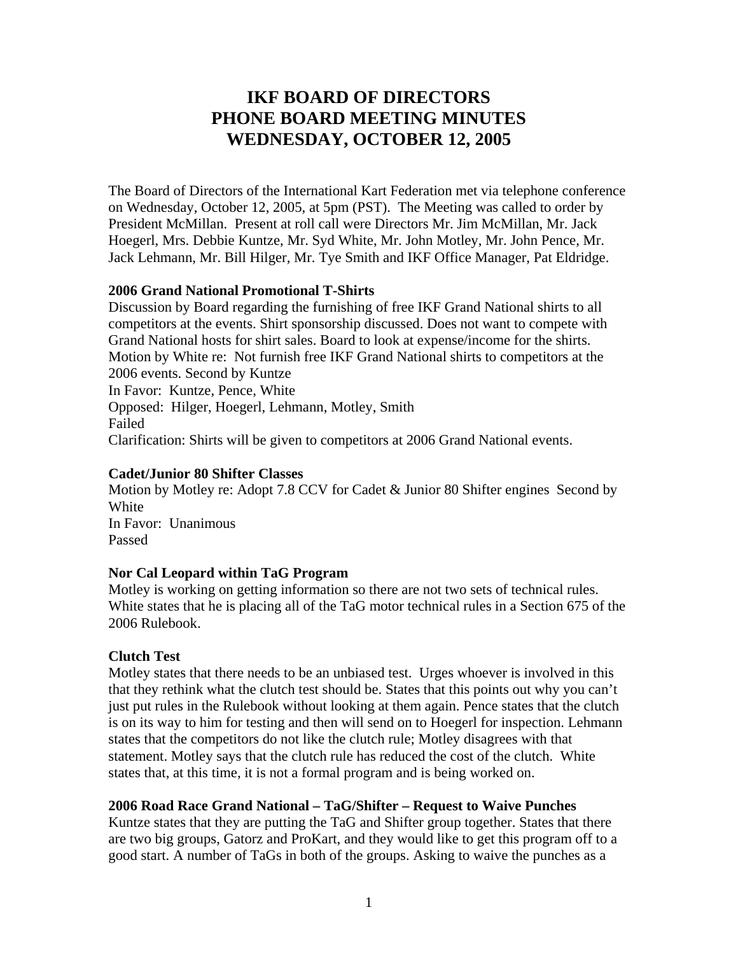# **IKF BOARD OF DIRECTORS PHONE BOARD MEETING MINUTES WEDNESDAY, OCTOBER 12, 2005**

The Board of Directors of the International Kart Federation met via telephone conference on Wednesday, October 12, 2005, at 5pm (PST). The Meeting was called to order by President McMillan. Present at roll call were Directors Mr. Jim McMillan, Mr. Jack Hoegerl, Mrs. Debbie Kuntze, Mr. Syd White, Mr. John Motley, Mr. John Pence, Mr. Jack Lehmann, Mr. Bill Hilger, Mr. Tye Smith and IKF Office Manager, Pat Eldridge.

#### **2006 Grand National Promotional T-Shirts**

Discussion by Board regarding the furnishing of free IKF Grand National shirts to all competitors at the events. Shirt sponsorship discussed. Does not want to compete with Grand National hosts for shirt sales. Board to look at expense/income for the shirts. Motion by White re: Not furnish free IKF Grand National shirts to competitors at the 2006 events. Second by Kuntze In Favor: Kuntze, Pence, White Opposed: Hilger, Hoegerl, Lehmann, Motley, Smith Failed Clarification: Shirts will be given to competitors at 2006 Grand National events.

#### **Cadet/Junior 80 Shifter Classes**

Motion by Motley re: Adopt 7.8 CCV for Cadet & Junior 80 Shifter engines Second by **White** In Favor: Unanimous Passed

## **Nor Cal Leopard within TaG Program**

Motley is working on getting information so there are not two sets of technical rules. White states that he is placing all of the TaG motor technical rules in a Section 675 of the 2006 Rulebook.

## **Clutch Test**

Motley states that there needs to be an unbiased test. Urges whoever is involved in this that they rethink what the clutch test should be. States that this points out why you can't just put rules in the Rulebook without looking at them again. Pence states that the clutch is on its way to him for testing and then will send on to Hoegerl for inspection. Lehmann states that the competitors do not like the clutch rule; Motley disagrees with that statement. Motley says that the clutch rule has reduced the cost of the clutch. White states that, at this time, it is not a formal program and is being worked on.

## **2006 Road Race Grand National – TaG/Shifter – Request to Waive Punches**

Kuntze states that they are putting the TaG and Shifter group together. States that there are two big groups, Gatorz and ProKart, and they would like to get this program off to a good start. A number of TaGs in both of the groups. Asking to waive the punches as a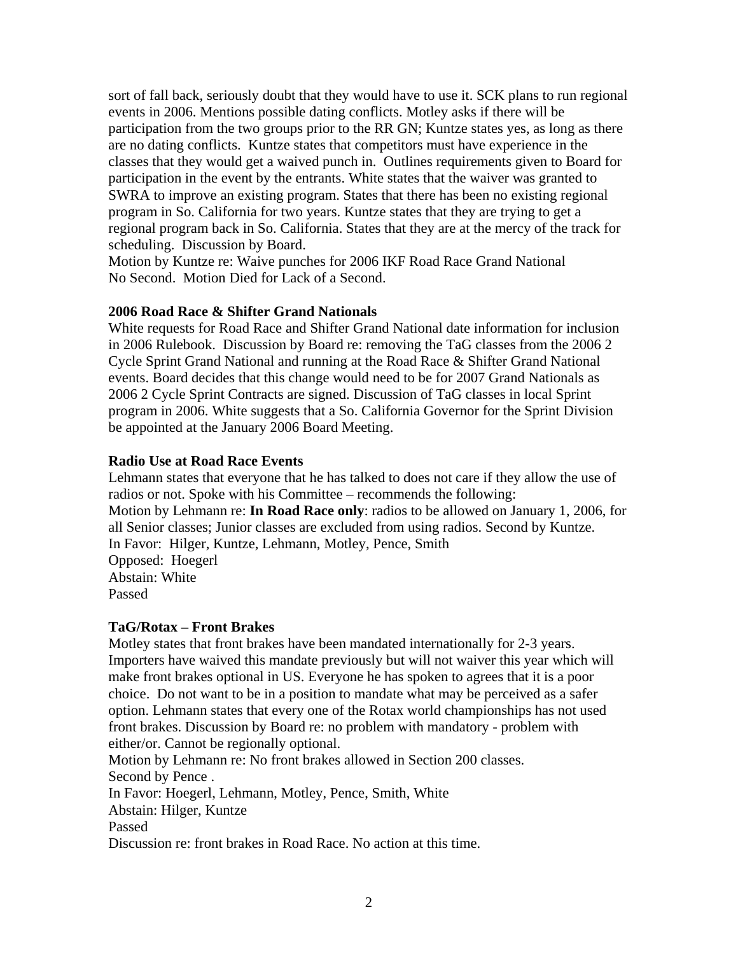sort of fall back, seriously doubt that they would have to use it. SCK plans to run regional events in 2006. Mentions possible dating conflicts. Motley asks if there will be participation from the two groups prior to the RR GN; Kuntze states yes, as long as there are no dating conflicts. Kuntze states that competitors must have experience in the classes that they would get a waived punch in. Outlines requirements given to Board for participation in the event by the entrants. White states that the waiver was granted to SWRA to improve an existing program. States that there has been no existing regional program in So. California for two years. Kuntze states that they are trying to get a regional program back in So. California. States that they are at the mercy of the track for scheduling. Discussion by Board.

Motion by Kuntze re: Waive punches for 2006 IKF Road Race Grand National No Second. Motion Died for Lack of a Second.

## **2006 Road Race & Shifter Grand Nationals**

White requests for Road Race and Shifter Grand National date information for inclusion in 2006 Rulebook. Discussion by Board re: removing the TaG classes from the 2006 2 Cycle Sprint Grand National and running at the Road Race & Shifter Grand National events. Board decides that this change would need to be for 2007 Grand Nationals as 2006 2 Cycle Sprint Contracts are signed. Discussion of TaG classes in local Sprint program in 2006. White suggests that a So. California Governor for the Sprint Division be appointed at the January 2006 Board Meeting.

## **Radio Use at Road Race Events**

Lehmann states that everyone that he has talked to does not care if they allow the use of radios or not. Spoke with his Committee – recommends the following: Motion by Lehmann re: **In Road Race only**: radios to be allowed on January 1, 2006, for all Senior classes; Junior classes are excluded from using radios. Second by Kuntze. In Favor: Hilger, Kuntze, Lehmann, Motley, Pence, Smith Opposed: Hoegerl Abstain: White Passed

# **TaG/Rotax – Front Brakes**

Motley states that front brakes have been mandated internationally for 2-3 years. Importers have waived this mandate previously but will not waiver this year which will make front brakes optional in US. Everyone he has spoken to agrees that it is a poor choice. Do not want to be in a position to mandate what may be perceived as a safer option. Lehmann states that every one of the Rotax world championships has not used front brakes. Discussion by Board re: no problem with mandatory - problem with either/or. Cannot be regionally optional.

Motion by Lehmann re: No front brakes allowed in Section 200 classes. Second by Pence .

In Favor: Hoegerl, Lehmann, Motley, Pence, Smith, White

Abstain: Hilger, Kuntze

Passed

Discussion re: front brakes in Road Race. No action at this time.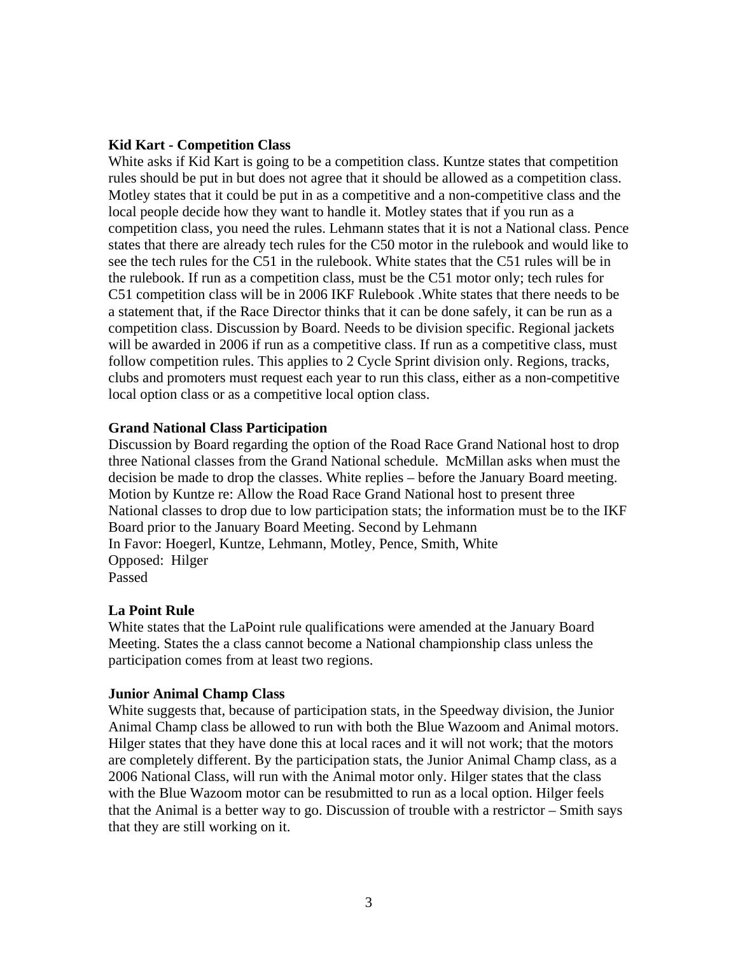#### **Kid Kart - Competition Class**

White asks if Kid Kart is going to be a competition class. Kuntze states that competition rules should be put in but does not agree that it should be allowed as a competition class. Motley states that it could be put in as a competitive and a non-competitive class and the local people decide how they want to handle it. Motley states that if you run as a competition class, you need the rules. Lehmann states that it is not a National class. Pence states that there are already tech rules for the C50 motor in the rulebook and would like to see the tech rules for the C51 in the rulebook. White states that the C51 rules will be in the rulebook. If run as a competition class, must be the C51 motor only; tech rules for C51 competition class will be in 2006 IKF Rulebook .White states that there needs to be a statement that, if the Race Director thinks that it can be done safely, it can be run as a competition class. Discussion by Board. Needs to be division specific. Regional jackets will be awarded in 2006 if run as a competitive class. If run as a competitive class, must follow competition rules. This applies to 2 Cycle Sprint division only. Regions, tracks, clubs and promoters must request each year to run this class, either as a non-competitive local option class or as a competitive local option class.

#### **Grand National Class Participation**

Discussion by Board regarding the option of the Road Race Grand National host to drop three National classes from the Grand National schedule. McMillan asks when must the decision be made to drop the classes. White replies – before the January Board meeting. Motion by Kuntze re: Allow the Road Race Grand National host to present three National classes to drop due to low participation stats; the information must be to the IKF Board prior to the January Board Meeting. Second by Lehmann In Favor: Hoegerl, Kuntze, Lehmann, Motley, Pence, Smith, White Opposed: Hilger Passed

## **La Point Rule**

White states that the LaPoint rule qualifications were amended at the January Board Meeting. States the a class cannot become a National championship class unless the participation comes from at least two regions.

#### **Junior Animal Champ Class**

White suggests that, because of participation stats, in the Speedway division, the Junior Animal Champ class be allowed to run with both the Blue Wazoom and Animal motors. Hilger states that they have done this at local races and it will not work; that the motors are completely different. By the participation stats, the Junior Animal Champ class, as a 2006 National Class, will run with the Animal motor only. Hilger states that the class with the Blue Wazoom motor can be resubmitted to run as a local option. Hilger feels that the Animal is a better way to go. Discussion of trouble with a restrictor – Smith says that they are still working on it.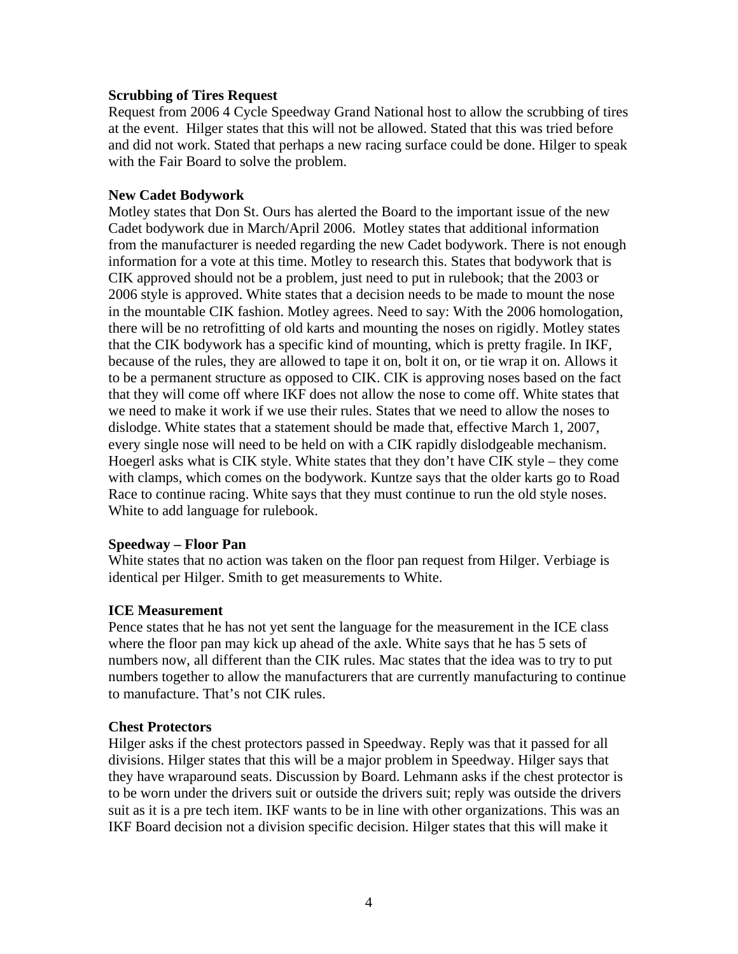## **Scrubbing of Tires Request**

Request from 2006 4 Cycle Speedway Grand National host to allow the scrubbing of tires at the event. Hilger states that this will not be allowed. Stated that this was tried before and did not work. Stated that perhaps a new racing surface could be done. Hilger to speak with the Fair Board to solve the problem.

#### **New Cadet Bodywork**

Motley states that Don St. Ours has alerted the Board to the important issue of the new Cadet bodywork due in March/April 2006. Motley states that additional information from the manufacturer is needed regarding the new Cadet bodywork. There is not enough information for a vote at this time. Motley to research this. States that bodywork that is CIK approved should not be a problem, just need to put in rulebook; that the 2003 or 2006 style is approved. White states that a decision needs to be made to mount the nose in the mountable CIK fashion. Motley agrees. Need to say: With the 2006 homologation, there will be no retrofitting of old karts and mounting the noses on rigidly. Motley states that the CIK bodywork has a specific kind of mounting, which is pretty fragile. In IKF, because of the rules, they are allowed to tape it on, bolt it on, or tie wrap it on. Allows it to be a permanent structure as opposed to CIK. CIK is approving noses based on the fact that they will come off where IKF does not allow the nose to come off. White states that we need to make it work if we use their rules. States that we need to allow the noses to dislodge. White states that a statement should be made that, effective March 1, 2007, every single nose will need to be held on with a CIK rapidly dislodgeable mechanism. Hoegerl asks what is CIK style. White states that they don't have CIK style – they come with clamps, which comes on the bodywork. Kuntze says that the older karts go to Road Race to continue racing. White says that they must continue to run the old style noses. White to add language for rulebook.

#### **Speedway – Floor Pan**

White states that no action was taken on the floor pan request from Hilger. Verbiage is identical per Hilger. Smith to get measurements to White.

## **ICE Measurement**

Pence states that he has not yet sent the language for the measurement in the ICE class where the floor pan may kick up ahead of the axle. White says that he has 5 sets of numbers now, all different than the CIK rules. Mac states that the idea was to try to put numbers together to allow the manufacturers that are currently manufacturing to continue to manufacture. That's not CIK rules.

#### **Chest Protectors**

Hilger asks if the chest protectors passed in Speedway. Reply was that it passed for all divisions. Hilger states that this will be a major problem in Speedway. Hilger says that they have wraparound seats. Discussion by Board. Lehmann asks if the chest protector is to be worn under the drivers suit or outside the drivers suit; reply was outside the drivers suit as it is a pre tech item. IKF wants to be in line with other organizations. This was an IKF Board decision not a division specific decision. Hilger states that this will make it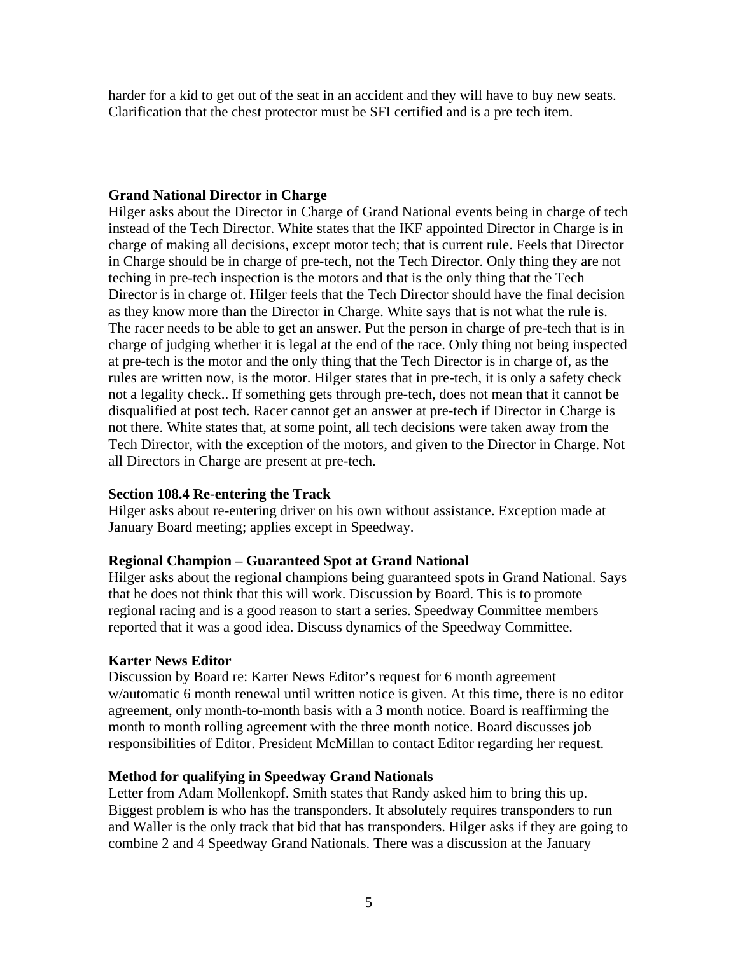harder for a kid to get out of the seat in an accident and they will have to buy new seats. Clarification that the chest protector must be SFI certified and is a pre tech item.

## **Grand National Director in Charge**

Hilger asks about the Director in Charge of Grand National events being in charge of tech instead of the Tech Director. White states that the IKF appointed Director in Charge is in charge of making all decisions, except motor tech; that is current rule. Feels that Director in Charge should be in charge of pre-tech, not the Tech Director. Only thing they are not teching in pre-tech inspection is the motors and that is the only thing that the Tech Director is in charge of. Hilger feels that the Tech Director should have the final decision as they know more than the Director in Charge. White says that is not what the rule is. The racer needs to be able to get an answer. Put the person in charge of pre-tech that is in charge of judging whether it is legal at the end of the race. Only thing not being inspected at pre-tech is the motor and the only thing that the Tech Director is in charge of, as the rules are written now, is the motor. Hilger states that in pre-tech, it is only a safety check not a legality check.. If something gets through pre-tech, does not mean that it cannot be disqualified at post tech. Racer cannot get an answer at pre-tech if Director in Charge is not there. White states that, at some point, all tech decisions were taken away from the Tech Director, with the exception of the motors, and given to the Director in Charge. Not all Directors in Charge are present at pre-tech.

## **Section 108.4 Re-entering the Track**

Hilger asks about re-entering driver on his own without assistance. Exception made at January Board meeting; applies except in Speedway.

## **Regional Champion – Guaranteed Spot at Grand National**

Hilger asks about the regional champions being guaranteed spots in Grand National. Says that he does not think that this will work. Discussion by Board. This is to promote regional racing and is a good reason to start a series. Speedway Committee members reported that it was a good idea. Discuss dynamics of the Speedway Committee.

## **Karter News Editor**

Discussion by Board re: Karter News Editor's request for 6 month agreement w/automatic 6 month renewal until written notice is given. At this time, there is no editor agreement, only month-to-month basis with a 3 month notice. Board is reaffirming the month to month rolling agreement with the three month notice. Board discusses job responsibilities of Editor. President McMillan to contact Editor regarding her request.

## **Method for qualifying in Speedway Grand Nationals**

Letter from Adam Mollenkopf. Smith states that Randy asked him to bring this up. Biggest problem is who has the transponders. It absolutely requires transponders to run and Waller is the only track that bid that has transponders. Hilger asks if they are going to combine 2 and 4 Speedway Grand Nationals. There was a discussion at the January